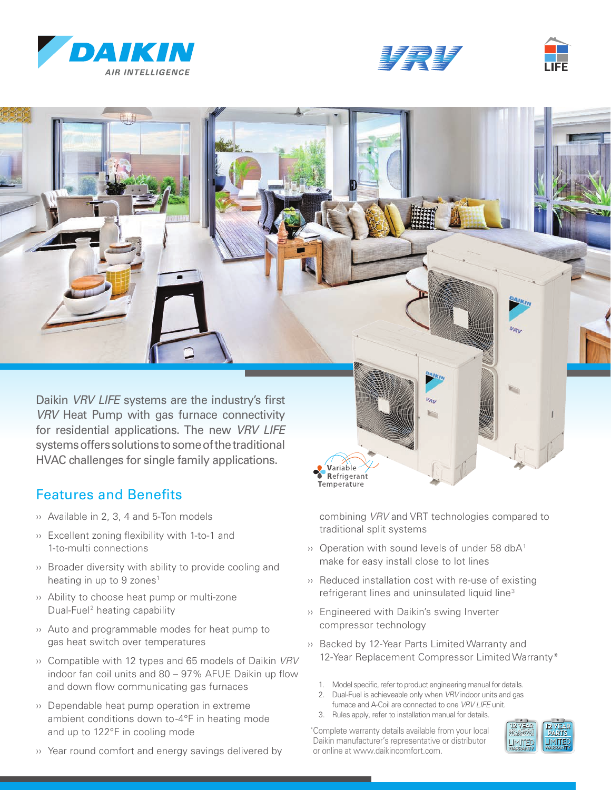







Variable Refrigerant Temperature

Daikin *VRV LIFE* systems are the industry's first *VRV* Heat Pump with gas furnace connectivity for residential applications. The new *VRV LIFE*  systems offers solutions to some of the traditional HVAC challenges for single family applications.

## Features and Benefits

- ›› Available in 2, 3, 4 and 5-Ton models
- ›› Excellent zoning flexibility with 1-to-1 and 1-to-multi connections
- ›› Broader diversity with ability to provide cooling and heating in up to 9 zones<sup>1</sup>
- ›› Ability to choose heat pump or multi-zone Dual-Fuel2 heating capability
- ›› Auto and programmable modes for heat pump to gas heat switch over temperatures
- ›› Compatible with 12 types and 65 models of Daikin *VRV* indoor fan coil units and 80 – 97% AFUE Daikin up flow and down flow communicating gas furnaces
- ›› Dependable heat pump operation in extreme ambient conditions down to -4°F in heating mode and up to 122°F in cooling mode
- ›› Year round comfort and energy savings delivered by

combining *VRV* and VRT technologies compared to traditional split systems

- $\cdots$  Operation with sound levels of under 58 dbA<sup>1</sup> make for easy install close to lot lines
- ›› Reduced installation cost with re-use of existing refrigerant lines and uninsulated liquid line<sup>3</sup>
- ›› Engineered with Daikin's swing Inverter compressor technology
- ›› Backed by 12-Year Parts Limited Warranty and 12-Year Replacement Compressor Limited Warranty\*
	- 1. Model specific, refer to product engineering manual for details.
	- 2. Dual-Fuel is achieveable only when *VRV* indoor units and gas furnace and A-Coil are connected to one *VRV LIFE* unit.
	- 3. Rules apply, refer to installation manual for details.

\* Complete warranty details available from your local Daikin manufacturer's representative or distributor or online at www.daikincomfort.com.